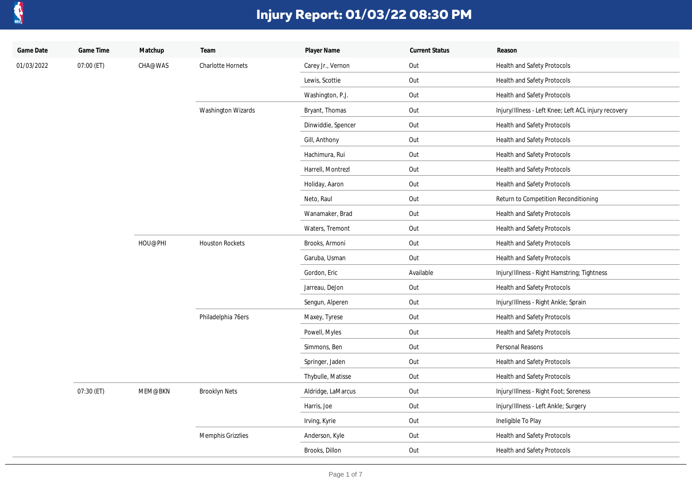

| Game Date  | Game Time  | Matchup | Team                   | Player Name        | <b>Current Status</b> | Reason                                               |
|------------|------------|---------|------------------------|--------------------|-----------------------|------------------------------------------------------|
| 01/03/2022 | 07:00 (ET) | CHA@WAS | Charlotte Hornets      | Carey Jr., Vernon  | Out                   | Health and Safety Protocols                          |
|            |            |         |                        | Lewis, Scottie     | Out                   | Health and Safety Protocols                          |
|            |            |         |                        | Washington, P.J.   | Out                   | Health and Safety Protocols                          |
|            |            |         | Washington Wizards     | Bryant, Thomas     | Out                   | Injury/Illness - Left Knee; Left ACL injury recovery |
|            |            |         |                        | Dinwiddie, Spencer | Out                   | Health and Safety Protocols                          |
|            |            |         |                        | Gill, Anthony      | Out                   | Health and Safety Protocols                          |
|            |            |         |                        | Hachimura, Rui     | Out                   | Health and Safety Protocols                          |
|            |            |         |                        | Harrell, Montrezl  | Out                   | Health and Safety Protocols                          |
|            |            |         |                        | Holiday, Aaron     | Out                   | Health and Safety Protocols                          |
|            |            |         |                        | Neto, Raul         | Out                   | Return to Competition Reconditioning                 |
|            |            |         |                        | Wanamaker, Brad    | Out                   | Health and Safety Protocols                          |
|            |            |         |                        | Waters, Tremont    | Out                   | Health and Safety Protocols                          |
|            |            | HOU@PHI | <b>Houston Rockets</b> | Brooks, Armoni     | Out                   | Health and Safety Protocols                          |
|            |            |         |                        | Garuba, Usman      | Out                   | Health and Safety Protocols                          |
|            |            |         |                        | Gordon, Eric       | Available             | Injury/Illness - Right Hamstring; Tightness          |
|            |            |         |                        | Jarreau, DeJon     | Out                   | Health and Safety Protocols                          |
|            |            |         |                        | Sengun, Alperen    | Out                   | Injury/Illness - Right Ankle; Sprain                 |
|            |            |         | Philadelphia 76ers     | Maxey, Tyrese      | Out                   | Health and Safety Protocols                          |
|            |            |         |                        | Powell, Myles      | Out                   | Health and Safety Protocols                          |
|            |            |         |                        | Simmons, Ben       | Out                   | Personal Reasons                                     |
|            |            |         |                        | Springer, Jaden    | Out                   | Health and Safety Protocols                          |
|            |            |         |                        | Thybulle, Matisse  | Out                   | Health and Safety Protocols                          |
|            | 07:30 (ET) | MEM@BKN | <b>Brooklyn Nets</b>   | Aldridge, LaMarcus | Out                   | Injury/Illness - Right Foot; Soreness                |
|            |            |         |                        | Harris, Joe        | Out                   | Injury/Illness - Left Ankle; Surgery                 |
|            |            |         |                        | Irving, Kyrie      | Out                   | Ineligible To Play                                   |
|            |            |         | Memphis Grizzlies      | Anderson, Kyle     | Out                   | Health and Safety Protocols                          |
|            |            |         |                        | Brooks, Dillon     | Out                   | Health and Safety Protocols                          |
|            |            |         |                        |                    |                       |                                                      |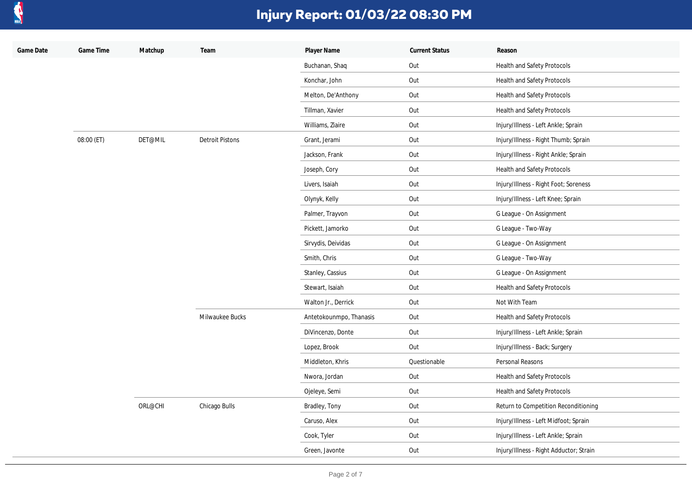

| Game Date | Game Time  | Matchup | Team                   | Player Name             | <b>Current Status</b> | Reason                                  |
|-----------|------------|---------|------------------------|-------------------------|-----------------------|-----------------------------------------|
|           |            |         |                        | Buchanan, Shaq          | Out                   | Health and Safety Protocols             |
|           |            |         |                        | Konchar, John           | Out                   | Health and Safety Protocols             |
|           |            |         |                        | Melton, De'Anthony      | Out                   | Health and Safety Protocols             |
|           |            |         |                        | Tillman, Xavier         | Out                   | Health and Safety Protocols             |
|           |            |         |                        | Williams, Ziaire        | Out                   | Injury/Illness - Left Ankle; Sprain     |
|           | 08:00 (ET) | DET@MIL | <b>Detroit Pistons</b> | Grant, Jerami           | Out                   | Injury/Illness - Right Thumb; Sprain    |
|           |            |         |                        | Jackson, Frank          | Out                   | Injury/Illness - Right Ankle; Sprain    |
|           |            |         |                        | Joseph, Cory            | Out                   | Health and Safety Protocols             |
|           |            |         |                        | Livers, Isaiah          | Out                   | Injury/Illness - Right Foot; Soreness   |
|           |            |         |                        | Olynyk, Kelly           | Out                   | Injury/Illness - Left Knee; Sprain      |
|           |            |         |                        | Palmer, Trayvon         | Out                   | G League - On Assignment                |
|           |            |         |                        | Pickett, Jamorko        | Out                   | G League - Two-Way                      |
|           |            |         |                        | Sirvydis, Deividas      | Out                   | G League - On Assignment                |
|           |            |         |                        | Smith, Chris            | Out                   | G League - Two-Way                      |
|           |            |         |                        | Stanley, Cassius        | Out                   | G League - On Assignment                |
|           |            |         |                        | Stewart, Isaiah         | Out                   | Health and Safety Protocols             |
|           |            |         |                        | Walton Jr., Derrick     | Out                   | Not With Team                           |
|           |            |         | Milwaukee Bucks        | Antetokounmpo, Thanasis | Out                   | Health and Safety Protocols             |
|           |            |         |                        | DiVincenzo, Donte       | Out                   | Injury/Illness - Left Ankle; Sprain     |
|           |            |         |                        | Lopez, Brook            | Out                   | Injury/Illness - Back; Surgery          |
|           |            |         |                        | Middleton, Khris        | Questionable          | Personal Reasons                        |
|           |            |         |                        | Nwora, Jordan           | Out                   | Health and Safety Protocols             |
|           |            |         |                        | Ojeleye, Semi           | Out                   | Health and Safety Protocols             |
|           |            | ORL@CHI | Chicago Bulls          | Bradley, Tony           | Out                   | Return to Competition Reconditioning    |
|           |            |         |                        | Caruso, Alex            | Out                   | Injury/Illness - Left Midfoot; Sprain   |
|           |            |         |                        | Cook, Tyler             | Out                   | Injury/Illness - Left Ankle; Sprain     |
|           |            |         |                        | Green, Javonte          | Out                   | Injury/Illness - Right Adductor; Strain |
|           |            |         |                        |                         |                       |                                         |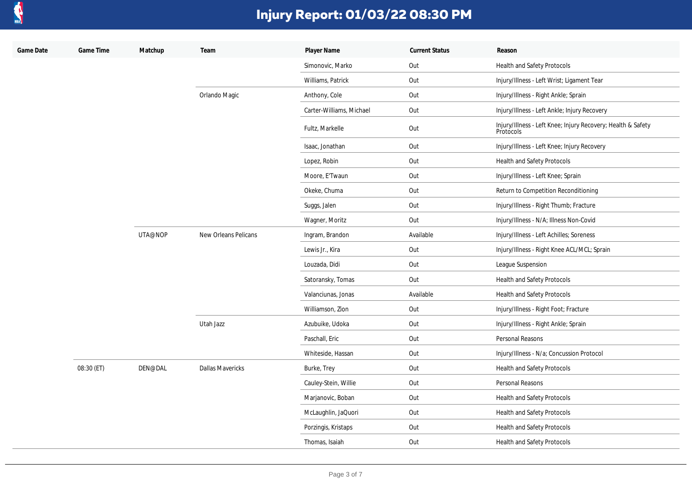

| Game Date | Game Time  | Matchup | Team                    | Player Name              | <b>Current Status</b> | Reason                                                                    |
|-----------|------------|---------|-------------------------|--------------------------|-----------------------|---------------------------------------------------------------------------|
|           |            |         |                         | Simonovic, Marko         | Out                   | Health and Safety Protocols                                               |
|           |            |         |                         | Williams, Patrick        | Out                   | Injury/Illness - Left Wrist; Ligament Tear                                |
|           |            |         | Orlando Magic           | Anthony, Cole            | Out                   | Injury/Illness - Right Ankle; Sprain                                      |
|           |            |         |                         | Carter-Williams, Michael | Out                   | Injury/Illness - Left Ankle; Injury Recovery                              |
|           |            |         |                         | Fultz, Markelle          | Out                   | Injury/Illness - Left Knee; Injury Recovery; Health & Safety<br>Protocols |
|           |            |         |                         | Isaac, Jonathan          | Out                   | Injury/Illness - Left Knee; Injury Recovery                               |
|           |            |         |                         | Lopez, Robin             | Out                   | Health and Safety Protocols                                               |
|           |            |         |                         | Moore, E'Twaun           | Out                   | Injury/Illness - Left Knee; Sprain                                        |
|           |            |         |                         | Okeke, Chuma             | Out                   | Return to Competition Reconditioning                                      |
|           |            |         |                         | Suggs, Jalen             | Out                   | Injury/Illness - Right Thumb; Fracture                                    |
|           |            |         |                         | Wagner, Moritz           | Out                   | Injury/Illness - N/A; Illness Non-Covid                                   |
|           |            | UTA@NOP | New Orleans Pelicans    | Ingram, Brandon          | Available             | Injury/Illness - Left Achilles; Soreness                                  |
|           |            |         |                         | Lewis Jr., Kira          | Out                   | Injury/Illness - Right Knee ACL/MCL; Sprain                               |
|           |            |         |                         | Louzada, Didi            | Out                   | League Suspension                                                         |
|           |            |         |                         | Satoransky, Tomas        | Out                   | Health and Safety Protocols                                               |
|           |            |         |                         | Valanciunas, Jonas       | Available             | Health and Safety Protocols                                               |
|           |            |         |                         | Williamson, Zion         | Out                   | Injury/Illness - Right Foot; Fracture                                     |
|           |            |         | Utah Jazz               | Azubuike, Udoka          | Out                   | Injury/Illness - Right Ankle; Sprain                                      |
|           |            |         |                         | Paschall, Eric           | Out                   | Personal Reasons                                                          |
|           |            |         |                         | Whiteside, Hassan        | Out                   | Injury/Illness - N/a; Concussion Protocol                                 |
|           | 08:30 (ET) | DEN@DAL | <b>Dallas Mavericks</b> | Burke, Trey              | Out                   | <b>Health and Safety Protocols</b>                                        |
|           |            |         |                         | Cauley-Stein, Willie     | Out                   | Personal Reasons                                                          |
|           |            |         |                         | Marjanovic, Boban        | Out                   | Health and Safety Protocols                                               |
|           |            |         |                         | McLaughlin, JaQuori      | Out                   | Health and Safety Protocols                                               |
|           |            |         |                         | Porzingis, Kristaps      | Out                   | Health and Safety Protocols                                               |
|           |            |         |                         | Thomas, Isaiah           | Out                   | Health and Safety Protocols                                               |
|           |            |         |                         |                          |                       |                                                                           |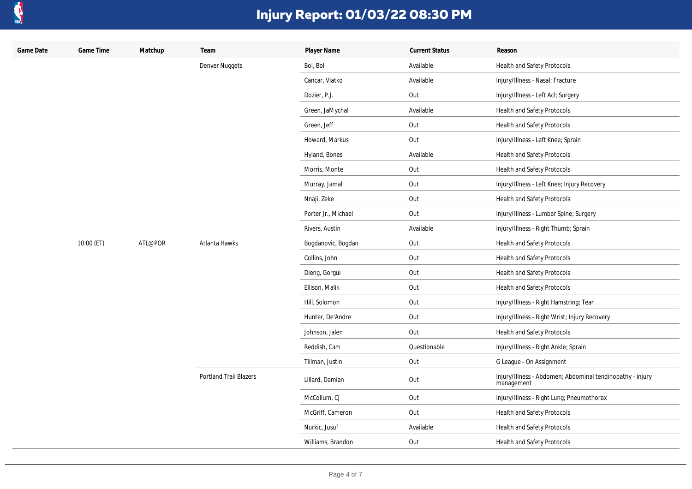

| Game Date | Game Time  | Matchup | Team                          | Player Name         | <b>Current Status</b> | Reason                                                                  |
|-----------|------------|---------|-------------------------------|---------------------|-----------------------|-------------------------------------------------------------------------|
|           |            |         | Denver Nuggets                | Bol, Bol            | Available             | Health and Safety Protocols                                             |
|           |            |         |                               | Cancar, Vlatko      | Available             | Injury/Illness - Nasal; Fracture                                        |
|           |            |         |                               | Dozier, P.J.        | Out                   | Injury/Illness - Left Acl; Surgery                                      |
|           |            |         |                               | Green, JaMychal     | Available             | Health and Safety Protocols                                             |
|           |            |         |                               | Green, Jeff         | Out                   | Health and Safety Protocols                                             |
|           |            |         |                               | Howard, Markus      | Out                   | Injury/Illness - Left Knee; Sprain                                      |
|           |            |         |                               | Hyland, Bones       | Available             | Health and Safety Protocols                                             |
|           |            |         |                               | Morris, Monte       | Out                   | Health and Safety Protocols                                             |
|           |            |         |                               | Murray, Jamal       | Out                   | Injury/Illness - Left Knee; Injury Recovery                             |
|           |            |         |                               | Nnaji, Zeke         | Out                   | Health and Safety Protocols                                             |
|           |            |         |                               | Porter Jr., Michael | Out                   | Injury/Illness - Lumbar Spine; Surgery                                  |
|           |            |         |                               | Rivers, Austin      | Available             | Injury/Illness - Right Thumb; Sprain                                    |
|           | 10:00 (ET) | ATL@POR | Atlanta Hawks                 | Bogdanovic, Bogdan  | Out                   | Health and Safety Protocols                                             |
|           |            |         |                               | Collins, John       | Out                   | Health and Safety Protocols                                             |
|           |            |         |                               | Dieng, Gorgui       | Out                   | Health and Safety Protocols                                             |
|           |            |         |                               | Ellison, Malik      | Out                   | Health and Safety Protocols                                             |
|           |            |         |                               | Hill, Solomon       | Out                   | Injury/Illness - Right Hamstring; Tear                                  |
|           |            |         |                               | Hunter, De'Andre    | Out                   | Injury/Illness - Right Wrist; Injury Recovery                           |
|           |            |         |                               | Johnson, Jalen      | Out                   | Health and Safety Protocols                                             |
|           |            |         |                               | Reddish, Cam        | Questionable          | Injury/Illness - Right Ankle; Sprain                                    |
|           |            |         |                               | Tillman, Justin     | Out                   | G League - On Assignment                                                |
|           |            |         | <b>Portland Trail Blazers</b> | Lillard, Damian     | Out                   | Injury/Illness - Abdomen; Abdominal tendinopathy - injury<br>management |
|           |            |         |                               | McCollum, CJ        | Out                   | Injury/Illness - Right Lung; Pneumothorax                               |
|           |            |         |                               | McGriff, Cameron    | Out                   | Health and Safety Protocols                                             |
|           |            |         |                               | Nurkic, Jusuf       | Available             | Health and Safety Protocols                                             |
|           |            |         |                               | Williams, Brandon   | Out                   | Health and Safety Protocols                                             |
|           |            |         |                               |                     |                       |                                                                         |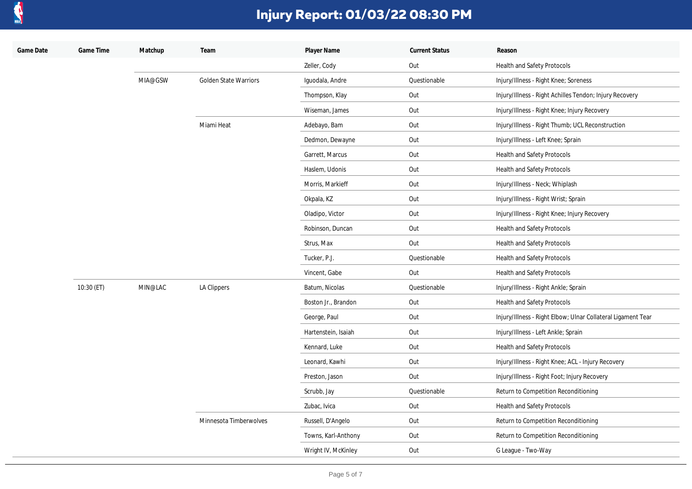

| Game Date | Game Time  | Matchup | Team                         | Player Name         | <b>Current Status</b> | Reason                                                       |
|-----------|------------|---------|------------------------------|---------------------|-----------------------|--------------------------------------------------------------|
|           |            |         |                              | Zeller, Cody        | Out                   | Health and Safety Protocols                                  |
|           |            | MIA@GSW | <b>Golden State Warriors</b> | Iguodala, Andre     | Questionable          | Injury/Illness - Right Knee; Soreness                        |
|           |            |         |                              | Thompson, Klay      | Out                   | Injury/Illness - Right Achilles Tendon; Injury Recovery      |
|           |            |         |                              | Wiseman, James      | Out                   | Injury/Illness - Right Knee; Injury Recovery                 |
|           |            |         | Miami Heat                   | Adebayo, Bam        | Out                   | Injury/Illness - Right Thumb; UCL Reconstruction             |
|           |            |         |                              | Dedmon, Dewayne     | Out                   | Injury/Illness - Left Knee; Sprain                           |
|           |            |         |                              | Garrett, Marcus     | Out                   | Health and Safety Protocols                                  |
|           |            |         |                              | Haslem, Udonis      | Out                   | Health and Safety Protocols                                  |
|           |            |         |                              | Morris, Markieff    | Out                   | Injury/Illness - Neck; Whiplash                              |
|           |            |         |                              | Okpala, KZ          | Out                   | Injury/Illness - Right Wrist; Sprain                         |
|           |            |         |                              | Oladipo, Victor     | Out                   | Injury/Illness - Right Knee; Injury Recovery                 |
|           |            |         |                              | Robinson, Duncan    | Out                   | Health and Safety Protocols                                  |
|           |            |         |                              | Strus, Max          | Out                   | Health and Safety Protocols                                  |
|           |            |         |                              | Tucker, P.J.        | Questionable          | Health and Safety Protocols                                  |
|           |            |         |                              | Vincent, Gabe       | Out                   | Health and Safety Protocols                                  |
|           | 10:30 (ET) | MIN@LAC | LA Clippers                  | Batum, Nicolas      | Questionable          | Injury/Illness - Right Ankle; Sprain                         |
|           |            |         |                              | Boston Jr., Brandon | Out                   | Health and Safety Protocols                                  |
|           |            |         |                              | George, Paul        | Out                   | Injury/Illness - Right Elbow; Ulnar Collateral Ligament Tear |
|           |            |         |                              | Hartenstein, Isaiah | Out                   | Injury/Illness - Left Ankle; Sprain                          |
|           |            |         |                              | Kennard, Luke       | Out                   | Health and Safety Protocols                                  |
|           |            |         |                              | Leonard, Kawhi      | Out                   | Injury/Illness - Right Knee; ACL - Injury Recovery           |
|           |            |         |                              | Preston, Jason      | Out                   | Injury/Illness - Right Foot; Injury Recovery                 |
|           |            |         |                              | Scrubb, Jay         | Questionable          | Return to Competition Reconditioning                         |
|           |            |         |                              | Zubac, Ivica        | Out                   | Health and Safety Protocols                                  |
|           |            |         | Minnesota Timberwolves       | Russell, D'Angelo   | Out                   | Return to Competition Reconditioning                         |
|           |            |         |                              | Towns, Karl-Anthony | Out                   | Return to Competition Reconditioning                         |
|           |            |         |                              | Wright IV, McKinley | Out                   | G League - Two-Way                                           |
|           |            |         |                              |                     |                       |                                                              |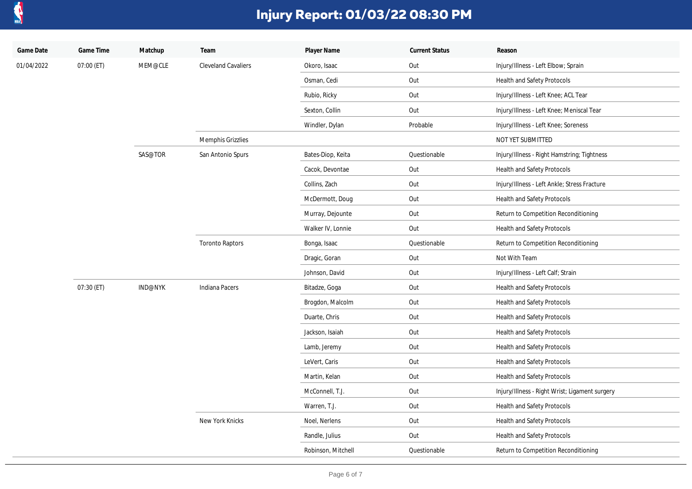

| Game Date  | Game Time  | Matchup        | Team                       | Player Name        | <b>Current Status</b> | Reason                                         |
|------------|------------|----------------|----------------------------|--------------------|-----------------------|------------------------------------------------|
| 01/04/2022 | 07:00 (ET) | MEM@CLE        | <b>Cleveland Cavaliers</b> | Okoro, Isaac       | Out                   | Injury/Illness - Left Elbow; Sprain            |
|            |            |                |                            | Osman, Cedi        | Out                   | Health and Safety Protocols                    |
|            |            |                |                            | Rubio, Ricky       | Out                   | Injury/Illness - Left Knee; ACL Tear           |
|            |            |                |                            | Sexton, Collin     | Out                   | Injury/Illness - Left Knee; Meniscal Tear      |
|            |            |                |                            | Windler, Dylan     | Probable              | Injury/Illness - Left Knee; Soreness           |
|            |            |                | Memphis Grizzlies          |                    |                       | NOT YET SUBMITTED                              |
|            |            | SAS@TOR        | San Antonio Spurs          | Bates-Diop, Keita  | Questionable          | Injury/Illness - Right Hamstring; Tightness    |
|            |            |                |                            | Cacok, Devontae    | Out                   | Health and Safety Protocols                    |
|            |            |                |                            | Collins, Zach      | Out                   | Injury/Illness - Left Ankle; Stress Fracture   |
|            |            |                |                            | McDermott, Doug    | Out                   | Health and Safety Protocols                    |
|            |            |                |                            | Murray, Dejounte   | Out                   | Return to Competition Reconditioning           |
|            |            |                |                            | Walker IV, Lonnie  | Out                   | Health and Safety Protocols                    |
|            |            |                | <b>Toronto Raptors</b>     | Bonga, Isaac       | Questionable          | Return to Competition Reconditioning           |
|            |            |                |                            | Dragic, Goran      | Out                   | Not With Team                                  |
|            |            |                |                            | Johnson, David     | Out                   | Injury/Illness - Left Calf; Strain             |
|            | 07:30 (ET) | <b>IND@NYK</b> | Indiana Pacers             | Bitadze, Goga      | Out                   | Health and Safety Protocols                    |
|            |            |                |                            | Brogdon, Malcolm   | Out                   | Health and Safety Protocols                    |
|            |            |                |                            | Duarte, Chris      | Out                   | Health and Safety Protocols                    |
|            |            |                |                            | Jackson, Isaiah    | Out                   | Health and Safety Protocols                    |
|            |            |                |                            | Lamb, Jeremy       | Out                   | Health and Safety Protocols                    |
|            |            |                |                            | LeVert, Caris      | Out                   | Health and Safety Protocols                    |
|            |            |                |                            | Martin, Kelan      | Out                   | Health and Safety Protocols                    |
|            |            |                |                            | McConnell, T.J.    | Out                   | Injury/Illness - Right Wrist; Ligament surgery |
|            |            |                |                            | Warren, T.J.       | Out                   | Health and Safety Protocols                    |
|            |            |                | New York Knicks            | Noel, Nerlens      | Out                   | Health and Safety Protocols                    |
|            |            |                |                            | Randle, Julius     | Out                   | Health and Safety Protocols                    |
|            |            |                |                            | Robinson, Mitchell | Questionable          | Return to Competition Reconditioning           |
|            |            |                |                            |                    |                       |                                                |